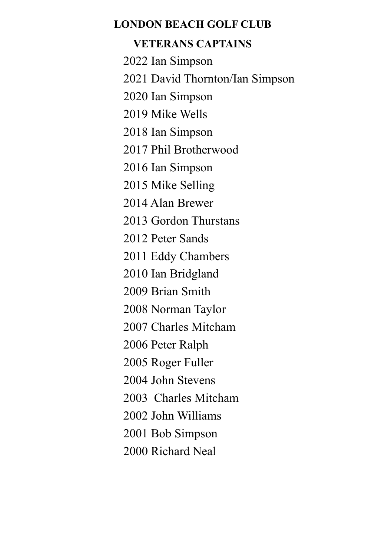## **LONDON BEACH GOLF CLUB**

# **VETERANS CAPTAINS**

2022 Ian Simpson

2021 David Thornton/Ian Simpson

2020 Ian Simpson

2019 Mike Wells

2018 Ian Simpson

2017 Phil Brotherwood

2016 Ian Simpson

2015 Mike Selling

2014 Alan Brewer

2013 Gordon Thurstans

2012 Peter Sands

2011 Eddy Chambers

2010 Ian Bridgland

2009 Brian Smith

2008 Norman Taylor

2007 Charles Mitcham

2006 Peter Ralph

2005 Roger Fuller

2004 John Stevens

2003 Charles Mitcham

2002 John Williams

2001 Bob Simpson

2000 Richard Neal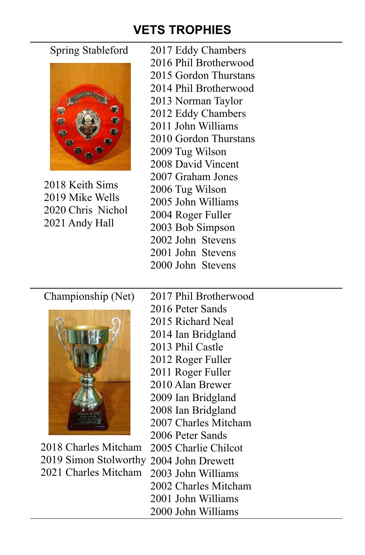# **VETS TROPHIES**



2018 Keith Sims 2019 Mike Wells 2020 Chris Nichol 2021 Andy Hall

Spring Stableford 2017 Eddy Chambers

- 2016 Phil Brotherwood 2015 Gordon Thurstans
- 2014 Phil Brotherwood
- 2013 Norman Taylor
- 
- 2012 Eddy Chambers
- 2011 John Williams
- 2010 Gordon Thurstans
- 2009 Tug Wilson
- 2008 David Vincent
- 2007 Graham Jones
- 2006 Tug Wilson
- 2005 John Williams
- 2004 Roger Fuller
- 2003 Bob Simpson
- 2002 John Stevens
- 2001 John Stevens
- 2000 John Stevens



2018 Charles Mitcham 2005 Charlie Chilcot 2019 Simon Stolworthy 2004 John Drewett 2021 Charles Mitcham 2003 John Williams

- Championship (Net) 2017 Phil Brotherwood
	- 2016 Peter Sands
	- 2015 Richard Neal
	- 2014 Ian Bridgland
	- 2013 Phil Castle
	- 2012 Roger Fuller
	- 2011 Roger Fuller
	- 2010 Alan Brewer
	- 2009 Ian Bridgland
	- 2008 Ian Bridgland
	- 2007 Charles Mitcham
	- 2006 Peter Sands
	-
	-
	-
	- 2002 Charles Mitcham
	- 2001 John Williams
	- 2000 John Williams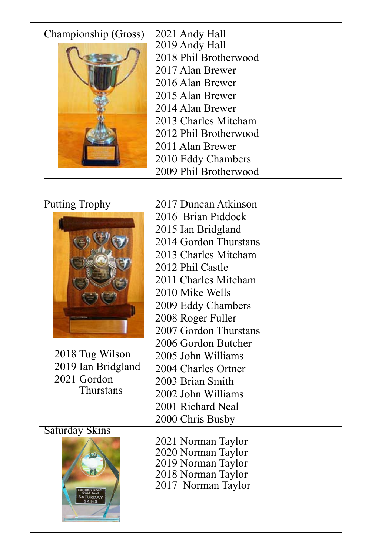# Championship (Gross) 2021 Andy Hall



2019 Andy Hall 2018 Phil Brotherwood 2017 Alan Brewer 2016 Alan Brewer 2015 Alan Brewer 2014 Alan Brewer 2013 Charles Mitcham 2012 Phil Brotherwood 2011 Alan Brewer 2010 Eddy Chambers 2009 Phil Brotherwood



2018 Tug Wilson 2019 Ian Bridgland 2021 Gordon **Thurstans** 

Putting Trophy 2017 Duncan Atkinson 2016 Brian Piddock 2015 Ian Bridgland 2014 Gordon Thurstans 2013 Charles Mitcham 2012 Phil Castle 2011 Charles Mitcham 2010 Mike Wells 2009 Eddy Chambers 2008 Roger Fuller 2007 Gordon Thurstans 2006 Gordon Butcher 2005 John Williams 2004 Charles Ortner 2003 Brian Smith 2002 John Williams 2001 Richard Neal 2000 Chris Busby

# Saturday Skins



- 2021 Norman Taylor
- 2020 Norman Taylor
- 2019 Norman Taylor
- 2018 Norman Taylor
- 2017 Norman Taylor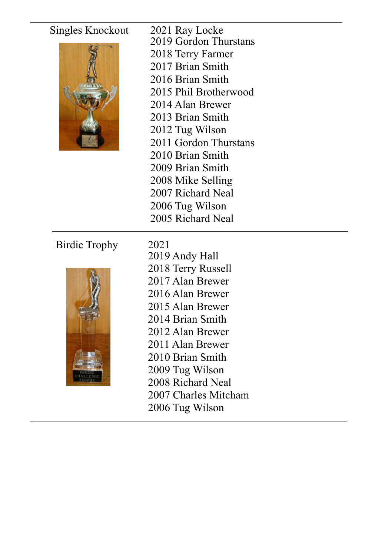# Singles Knockout 2021 Ray Locke



- 2019 Gordon Thurstans
- 2018 Terry Farmer
- 2017 Brian Smith
- 2016 Brian Smith
- 2015 Phil Brotherwood
- 2014 Alan Brewer
- 2013 Brian Smith
- 2012 Tug Wilson
- 2011 Gordon Thurstans
- 2010 Brian Smith
- 2009 Brian Smith
- 2008 Mike Selling
- 2007 Richard Neal
- 2006 Tug Wilson
- 2005 Richard Neal

# Birdie Trophy 2021



2019 Andy Hall 2018 Terry Russell 2017 Alan Brewer 2016 Alan Brewer 2015 Alan Brewer 2014 Brian Smith 2012 Alan Brewer 2011 Alan Brewer 2010 Brian Smith 2009 Tug Wilson 2008 Richard Neal 2007 Charles Mitcham 2006 Tug Wilson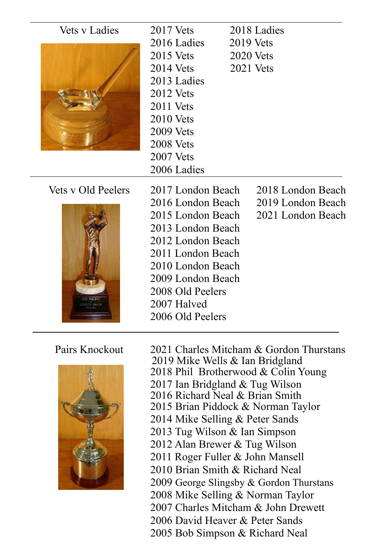| <b>Vets v Ladies</b> | $2017$ Vets       |  | 2018 Ladies       |  |
|----------------------|-------------------|--|-------------------|--|
|                      | 2016 Ladies       |  | <b>2019</b> Vets  |  |
|                      | $2015$ Vets       |  | $2020$ Vets       |  |
|                      | $2014$ Vets       |  | $2021$ Vets       |  |
|                      | 2013 Ladies       |  |                   |  |
|                      | $2012$ Vets       |  |                   |  |
|                      | $2011$ Vets       |  |                   |  |
|                      | $2010$ Vets       |  |                   |  |
|                      | <b>2009 Vets</b>  |  |                   |  |
|                      | <b>2008</b> Vets  |  |                   |  |
|                      | $2007$ Vets       |  |                   |  |
|                      | 2006 Ladies       |  |                   |  |
|                      |                   |  |                   |  |
| Vets y Old Peelers   | 2017 London Beach |  | 2018 London Beach |  |
|                      | 2016 London Beach |  | 2019 London Beach |  |
|                      | 2015 London Beach |  | 2021 London Beach |  |
|                      | 2013 London Beach |  |                   |  |
|                      | 2012 London Beach |  |                   |  |
|                      | 2011 London Beach |  |                   |  |
|                      | 2010 London Beach |  |                   |  |
|                      | 2009 London Beach |  |                   |  |
|                      | 2008 Old Peelers  |  |                   |  |
|                      | 2007 Halved       |  |                   |  |
|                      | 2006 Old Peelers  |  |                   |  |



Pairs Knockout 2021 Charles Mitcham & Gordon Thurstans 2019 Mike Wells & Ian Bridgland 2018 Phil Brotherwood & Colin Young 2017 Ian Bridgland & Tug Wilson 2016 Richard Neal & Brian Smith 2015 Brian Piddock & Norman Taylor 2014 Mike Selling & Peter Sands 2013 Tug Wilson & Ian Simpson 2012 Alan Brewer & Tug Wilson 2011 Roger Fuller & John Mansell 2010 Brian Smith & Richard Neal 2009 George Slingsby & Gordon Thurstans 2008 Mike Selling & Norman Taylor 2007 Charles Mitcham & John Drewett 2006 David Heaver & Peter Sands 2005 Bob Simpson & Richard Neal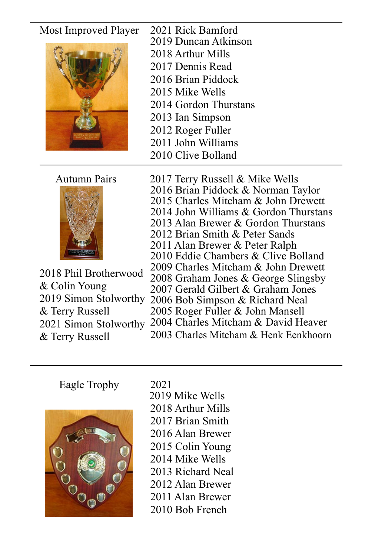# Most Improved Player 2021 Rick Bamford



- 2019 Duncan Atkinson
- 2018 Arthur Mills
- 2017 Dennis Read
- 2016 Brian Piddock
- 2015 Mike Wells
- 2014 Gordon Thurstans
- 2013 Ian Simpson
- 2012 Roger Fuller
- 2011 John Williams
- 2010 Clive Bolland



2018 Phil Brotherwood 2009 Charles Mitcham & John Drewett<br>2008 Graham Jones & George Slingsby & Colin Young 2019 Simon Stolworthy & Terry Russell 2021 Simon Stolworthy & Terry Russell

- Autumn Pairs 2017 Terry Russell & Mike Wells
	- 2016 Brian Piddock & Norman Taylor
	- 2015 Charles Mitcham & John Drewett
	- 2014 John Williams & Gordon Thurstans
	- 2013 Alan Brewer & Gordon Thurstans
	- 2012 Brian Smith & Peter Sands
	- 2011 Alan Brewer & Peter Ralph
	- 2010 Eddie Chambers & Clive Bolland<br>2009 Charles Mitcham & John Drewett
	-
	-
	- 2007 Gerald Gilbert & Graham Jones
	- 2006 Bob Simpson & Richard Neal
	- 2005 Roger Fuller & John Mansell
	- 2004 Charles Mitcham & David Heaver

2003 Charles Mitcham & Henk Eenkhoorn

# Eagle Trophy 2021



2019 Mike Wells 2018 Arthur Mills 2017 Brian Smith 2016 Alan Brewer 2015 Colin Young 2014 Mike Wells 2013 Richard Neal 2012 Alan Brewer 2011 Alan Brewer 2010 Bob French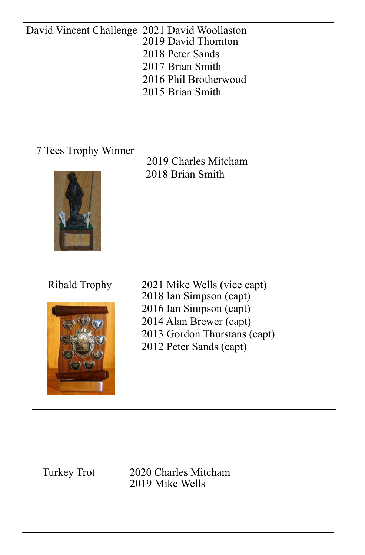## David Vincent Challenge 2021 David Woollaston 2019 David Thornton 2018 Peter Sands 2017 Brian Smith 2016 Phil Brotherwood 2015 Brian Smith

7 Tees Trophy Winner

2019 Charles Mitcham 2018 Brian Smith





Ribald Trophy 2021 Mike Wells (vice capt) 2018 Ian Simpson (capt) 2016 Ian Simpson (capt) 2014 Alan Brewer (capt) 2013 Gordon Thurstans (capt) 2012 Peter Sands (capt)

Turkey Trot 2020 Charles Mitcham 2019 Mike Wells